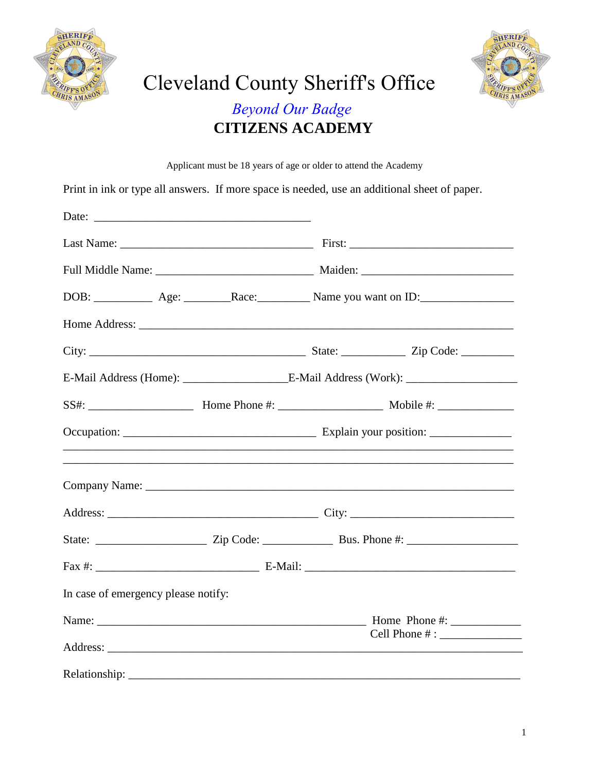



## Cleveland County Sheriff's Office **Beyond Our Badge CITIZENS ACADEMY**

Applicant must be 18 years of age or older to attend the Academy

Print in ink or type all answers. If more space is needed, use an additional sheet of paper.

| <u>,</u> 这个人的人们就是一个人的人们,我们就是一个人的人们,我们就是一个人的人们,我们就是一个人的人,我们就是一个人的人,我们就是一个人的人,我们就是一个人的人,我们 |  |  |
|------------------------------------------------------------------------------------------|--|--|
|                                                                                          |  |  |
|                                                                                          |  |  |
|                                                                                          |  |  |
|                                                                                          |  |  |
| In case of emergency please notify:                                                      |  |  |
|                                                                                          |  |  |
| Relationship:                                                                            |  |  |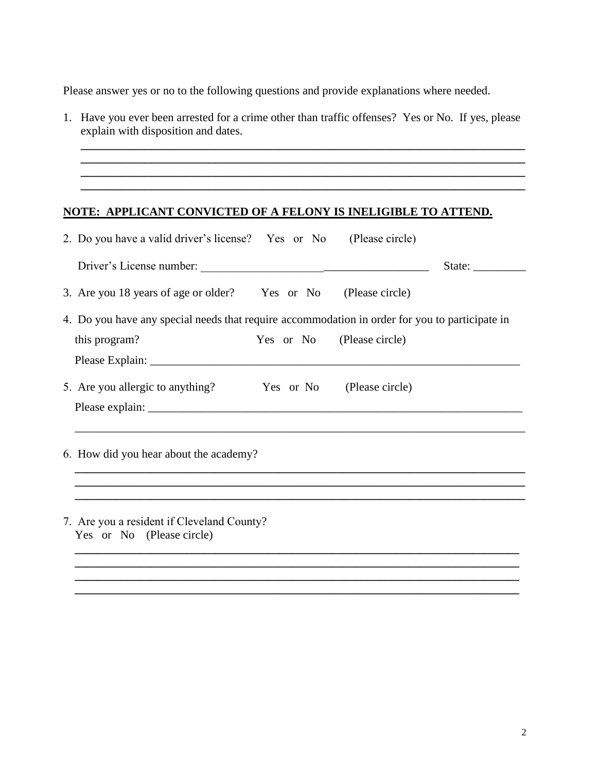Please answer yes or no to the following questions and provide explanations where needed.

1. Have you ever been arrested for a crime other than traffic offenses? Yes or No. If yes, please explain with disposition and dates.

**\_\_\_\_\_\_\_\_\_\_\_\_\_\_\_\_\_\_\_\_\_\_\_\_\_\_\_\_\_\_\_\_\_\_\_\_\_\_\_\_\_\_\_\_\_\_\_\_\_\_\_\_\_\_\_\_\_\_\_\_\_\_\_\_\_\_\_\_\_\_\_\_\_\_\_\_ \_\_\_\_\_\_\_\_\_\_\_\_\_\_\_\_\_\_\_\_\_\_\_\_\_\_\_\_\_\_\_\_\_\_\_\_\_\_\_\_\_\_\_\_\_\_\_\_\_\_\_\_\_\_\_\_\_\_\_\_\_\_\_\_\_\_\_\_\_\_\_\_\_\_\_\_**

**\_\_\_\_\_\_\_\_\_\_\_\_\_\_\_\_\_\_\_\_\_\_\_\_\_\_\_\_\_\_\_\_\_\_\_\_\_\_\_\_\_\_\_\_\_\_\_\_\_\_\_\_\_\_\_\_\_\_\_\_\_\_\_\_\_\_\_\_\_\_\_\_\_\_\_\_**

## **NOTE: APPLICANT CONVICTED OF A FELONY IS INELIGIBLE TO ATTEND.**

|                                        | 2. Do you have a valid driver's license? Yes or No (Please circle)                             |                             |  |  |
|----------------------------------------|------------------------------------------------------------------------------------------------|-----------------------------|--|--|
|                                        |                                                                                                | State: $\frac{2}{\sqrt{2}}$ |  |  |
|                                        | 3. Are you 18 years of age or older? Yes or No (Please circle)                                 |                             |  |  |
|                                        | 4. Do you have any special needs that require accommodation in order for you to participate in |                             |  |  |
|                                        | this program?<br>Yes or No (Please circle)                                                     |                             |  |  |
|                                        |                                                                                                |                             |  |  |
|                                        | 5. Are you allergic to anything? Yes or No (Please circle)                                     |                             |  |  |
|                                        |                                                                                                |                             |  |  |
|                                        |                                                                                                |                             |  |  |
| 6. How did you hear about the academy? |                                                                                                |                             |  |  |
|                                        |                                                                                                |                             |  |  |
|                                        |                                                                                                |                             |  |  |
|                                        | 7. Are you a resident if Cleveland County?<br>Yes or No (Please circle)                        |                             |  |  |
|                                        |                                                                                                |                             |  |  |
|                                        |                                                                                                |                             |  |  |

**\_\_\_\_\_\_\_\_\_\_\_\_\_\_\_\_\_\_\_\_\_\_\_\_\_\_\_\_\_\_\_\_\_\_\_\_\_\_\_\_\_\_\_\_\_\_\_\_\_\_\_\_\_\_\_\_\_\_\_\_\_\_\_\_\_\_\_\_\_\_\_\_\_\_\_\_**